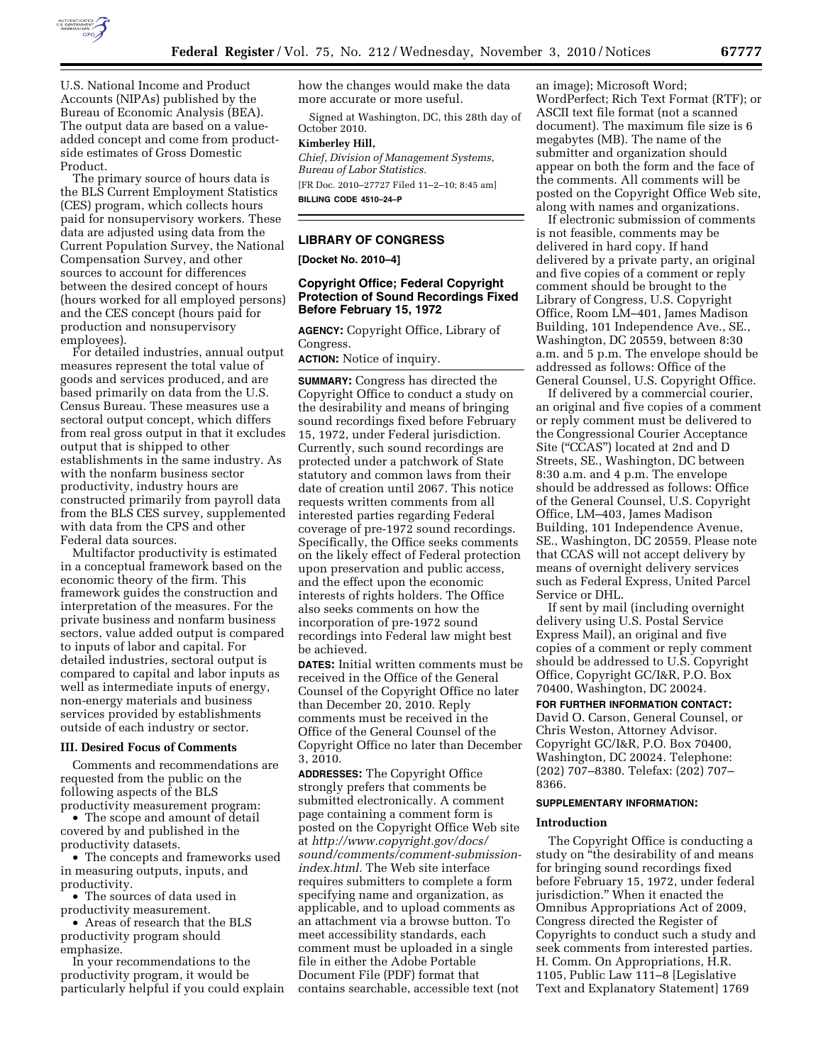

U.S. National Income and Product Accounts (NIPAs) published by the Bureau of Economic Analysis (BEA). The output data are based on a valueadded concept and come from productside estimates of Gross Domestic Product.

The primary source of hours data is the BLS Current Employment Statistics (CES) program, which collects hours paid for nonsupervisory workers. These data are adjusted using data from the Current Population Survey, the National Compensation Survey, and other sources to account for differences between the desired concept of hours (hours worked for all employed persons) and the CES concept (hours paid for production and nonsupervisory employees).

For detailed industries, annual output measures represent the total value of goods and services produced, and are based primarily on data from the U.S. Census Bureau. These measures use a sectoral output concept, which differs from real gross output in that it excludes output that is shipped to other establishments in the same industry. As with the nonfarm business sector productivity, industry hours are constructed primarily from payroll data from the BLS CES survey, supplemented with data from the CPS and other Federal data sources.

Multifactor productivity is estimated in a conceptual framework based on the economic theory of the firm. This framework guides the construction and interpretation of the measures. For the private business and nonfarm business sectors, value added output is compared to inputs of labor and capital. For detailed industries, sectoral output is compared to capital and labor inputs as well as intermediate inputs of energy, non-energy materials and business services provided by establishments outside of each industry or sector.

### **III. Desired Focus of Comments**

Comments and recommendations are requested from the public on the following aspects of the BLS productivity measurement program:

• The scope and amount of detail covered by and published in the productivity datasets.

• The concepts and frameworks used in measuring outputs, inputs, and productivity.

• The sources of data used in productivity measurement.

• Areas of research that the BLS productivity program should emphasize.

In your recommendations to the productivity program, it would be particularly helpful if you could explain how the changes would make the data more accurate or more useful.

Signed at Washington, DC, this 28th day of October 2010.

### **Kimberley Hill,**

*Chief, Division of Management Systems, Bureau of Labor Statistics.*  [FR Doc. 2010–27727 Filed 11–2–10; 8:45 am]

**BILLING CODE 4510–24–P** 

## **LIBRARY OF CONGRESS**

**[Docket No. 2010–4]** 

# **Copyright Office; Federal Copyright Protection of Sound Recordings Fixed Before February 15, 1972**

**AGENCY:** Copyright Office, Library of Congress.

**ACTION:** Notice of inquiry.

**SUMMARY:** Congress has directed the Copyright Office to conduct a study on the desirability and means of bringing sound recordings fixed before February 15, 1972, under Federal jurisdiction. Currently, such sound recordings are protected under a patchwork of State statutory and common laws from their date of creation until 2067. This notice requests written comments from all interested parties regarding Federal coverage of pre-1972 sound recordings. Specifically, the Office seeks comments on the likely effect of Federal protection upon preservation and public access, and the effect upon the economic interests of rights holders. The Office also seeks comments on how the incorporation of pre-1972 sound recordings into Federal law might best be achieved.

**DATES:** Initial written comments must be received in the Office of the General Counsel of the Copyright Office no later than December 20, 2010. Reply comments must be received in the Office of the General Counsel of the Copyright Office no later than December 3, 2010.

**ADDRESSES:** The Copyright Office strongly prefers that comments be submitted electronically. A comment page containing a comment form is posted on the Copyright Office Web site at *[http://www.copyright.gov/docs/](http://www.copyright.gov/docs/sound/comments/comment-submission-index.html) [sound/comments/comment-submission](http://www.copyright.gov/docs/sound/comments/comment-submission-index.html)[index.html.](http://www.copyright.gov/docs/sound/comments/comment-submission-index.html)* The Web site interface requires submitters to complete a form specifying name and organization, as applicable, and to upload comments as an attachment via a browse button. To meet accessibility standards, each comment must be uploaded in a single file in either the Adobe Portable Document File (PDF) format that contains searchable, accessible text (not

an image); Microsoft Word; WordPerfect; Rich Text Format (RTF); or ASCII text file format (not a scanned document). The maximum file size is 6 megabytes (MB). The name of the submitter and organization should appear on both the form and the face of the comments. All comments will be posted on the Copyright Office Web site, along with names and organizations.

If electronic submission of comments is not feasible, comments may be delivered in hard copy. If hand delivered by a private party, an original and five copies of a comment or reply comment should be brought to the Library of Congress, U.S. Copyright Office, Room LM–401, James Madison Building, 101 Independence Ave., SE., Washington, DC 20559, between 8:30 a.m. and 5 p.m. The envelope should be addressed as follows: Office of the General Counsel, U.S. Copyright Office.

If delivered by a commercial courier, an original and five copies of a comment or reply comment must be delivered to the Congressional Courier Acceptance Site ("CCAS") located at 2nd and D Streets, SE., Washington, DC between 8:30 a.m. and 4 p.m. The envelope should be addressed as follows: Office of the General Counsel, U.S. Copyright Office, LM–403, James Madison Building, 101 Independence Avenue, SE., Washington, DC 20559. Please note that CCAS will not accept delivery by means of overnight delivery services such as Federal Express, United Parcel Service or DHL.

If sent by mail (including overnight delivery using U.S. Postal Service Express Mail), an original and five copies of a comment or reply comment should be addressed to U.S. Copyright Office, Copyright GC/I&R, P.O. Box 70400, Washington, DC 20024.

**FOR FURTHER INFORMATION CONTACT:**  David O. Carson, General Counsel, or Chris Weston, Attorney Advisor. Copyright GC/I&R, P.O. Box 70400, Washington, DC 20024. Telephone: (202) 707–8380. Telefax: (202) 707– 8366.

### **SUPPLEMENTARY INFORMATION:**

### **Introduction**

The Copyright Office is conducting a study on "the desirability of and means" for bringing sound recordings fixed before February 15, 1972, under federal jurisdiction.'' When it enacted the Omnibus Appropriations Act of 2009, Congress directed the Register of Copyrights to conduct such a study and seek comments from interested parties. H. Comm. On Appropriations, H.R. 1105, Public Law 111–8 [Legislative Text and Explanatory Statement] 1769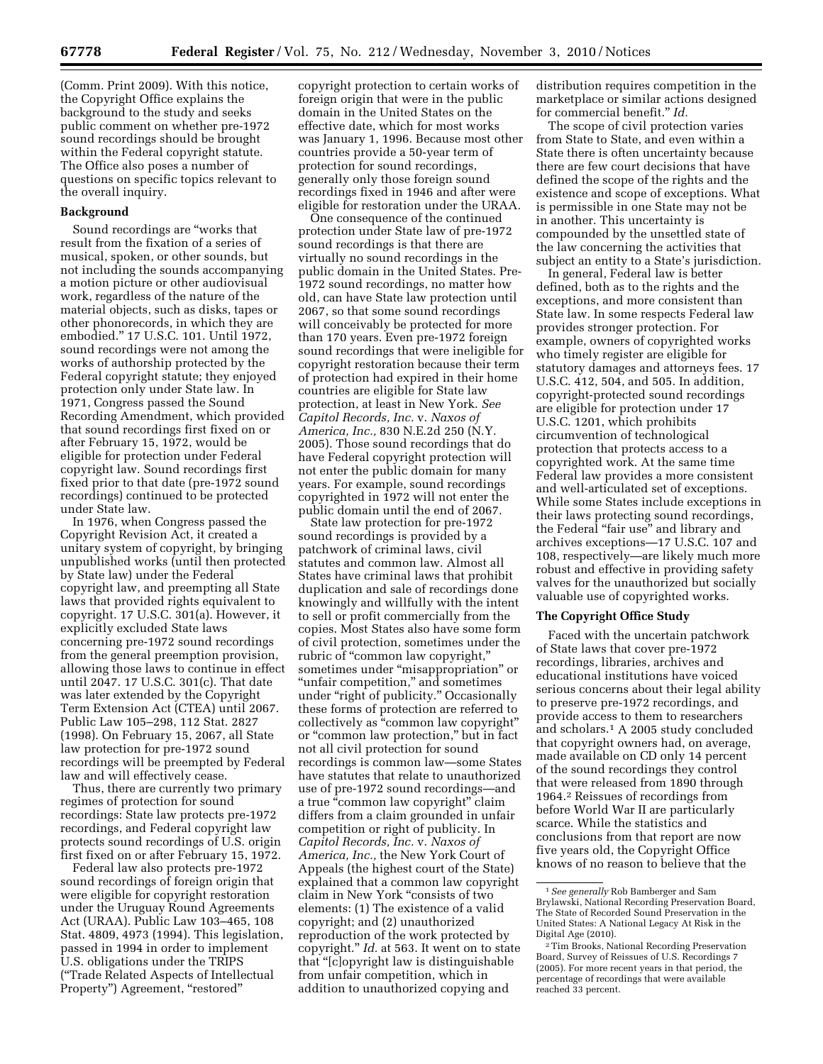(Comm. Print 2009). With this notice, the Copyright Office explains the background to the study and seeks public comment on whether pre-1972 sound recordings should be brought within the Federal copyright statute. The Office also poses a number of questions on specific topics relevant to the overall inquiry.

# **Background**

Sound recordings are ''works that result from the fixation of a series of musical, spoken, or other sounds, but not including the sounds accompanying a motion picture or other audiovisual work, regardless of the nature of the material objects, such as disks, tapes or other phonorecords, in which they are embodied.'' 17 U.S.C. 101. Until 1972, sound recordings were not among the works of authorship protected by the Federal copyright statute; they enjoyed protection only under State law. In 1971, Congress passed the Sound Recording Amendment, which provided that sound recordings first fixed on or after February 15, 1972, would be eligible for protection under Federal copyright law. Sound recordings first fixed prior to that date (pre-1972 sound recordings) continued to be protected under State law.

In 1976, when Congress passed the Copyright Revision Act, it created a unitary system of copyright, by bringing unpublished works (until then protected by State law) under the Federal copyright law, and preempting all State laws that provided rights equivalent to copyright. 17 U.S.C. 301(a). However, it explicitly excluded State laws concerning pre-1972 sound recordings from the general preemption provision, allowing those laws to continue in effect until 2047. 17 U.S.C. 301(c). That date was later extended by the Copyright Term Extension Act (CTEA) until 2067. Public Law 105–298, 112 Stat. 2827 (1998). On February 15, 2067, all State law protection for pre-1972 sound recordings will be preempted by Federal law and will effectively cease.

Thus, there are currently two primary regimes of protection for sound recordings: State law protects pre-1972 recordings, and Federal copyright law protects sound recordings of U.S. origin first fixed on or after February 15, 1972.

Federal law also protects pre-1972 sound recordings of foreign origin that were eligible for copyright restoration under the Uruguay Round Agreements Act (URAA). Public Law 103–465, 108 Stat. 4809, 4973 (1994). This legislation, passed in 1994 in order to implement U.S. obligations under the TRIPS (''Trade Related Aspects of Intellectual Property") Agreement, "restored"

copyright protection to certain works of foreign origin that were in the public domain in the United States on the effective date, which for most works was January 1, 1996. Because most other countries provide a 50-year term of protection for sound recordings, generally only those foreign sound recordings fixed in 1946 and after were eligible for restoration under the URAA.

One consequence of the continued protection under State law of pre-1972 sound recordings is that there are virtually no sound recordings in the public domain in the United States. Pre-1972 sound recordings, no matter how old, can have State law protection until 2067, so that some sound recordings will conceivably be protected for more than 170 years. Even pre-1972 foreign sound recordings that were ineligible for copyright restoration because their term of protection had expired in their home countries are eligible for State law protection, at least in New York. *See Capitol Records, Inc.* v. *Naxos of America, Inc.,* 830 N.E.2d 250 (N.Y. 2005). Those sound recordings that do have Federal copyright protection will not enter the public domain for many years. For example, sound recordings copyrighted in 1972 will not enter the public domain until the end of 2067.

State law protection for pre-1972 sound recordings is provided by a patchwork of criminal laws, civil statutes and common law. Almost all States have criminal laws that prohibit duplication and sale of recordings done knowingly and willfully with the intent to sell or profit commercially from the copies. Most States also have some form of civil protection, sometimes under the rubric of "common law copyright," sometimes under "misappropriation" or ''unfair competition,'' and sometimes under "right of publicity." Occasionally these forms of protection are referred to collectively as ''common law copyright'' or ''common law protection,'' but in fact not all civil protection for sound recordings is common law—some States have statutes that relate to unauthorized use of pre-1972 sound recordings—and a true "common law copyright" claim differs from a claim grounded in unfair competition or right of publicity. In *Capitol Records, Inc.* v. *Naxos of America, Inc.,* the New York Court of Appeals (the highest court of the State) explained that a common law copyright claim in New York ''consists of two elements: (1) The existence of a valid copyright; and (2) unauthorized reproduction of the work protected by copyright.'' *Id.* at 563. It went on to state that ''[c]opyright law is distinguishable from unfair competition, which in addition to unauthorized copying and

distribution requires competition in the marketplace or similar actions designed for commercial benefit.'' *Id.* 

The scope of civil protection varies from State to State, and even within a State there is often uncertainty because there are few court decisions that have defined the scope of the rights and the existence and scope of exceptions. What is permissible in one State may not be in another. This uncertainty is compounded by the unsettled state of the law concerning the activities that subject an entity to a State's jurisdiction.

In general, Federal law is better defined, both as to the rights and the exceptions, and more consistent than State law. In some respects Federal law provides stronger protection. For example, owners of copyrighted works who timely register are eligible for statutory damages and attorneys fees. 17 U.S.C. 412, 504, and 505. In addition, copyright-protected sound recordings are eligible for protection under 17 U.S.C. 1201, which prohibits circumvention of technological protection that protects access to a copyrighted work. At the same time Federal law provides a more consistent and well-articulated set of exceptions. While some States include exceptions in their laws protecting sound recordings, the Federal "fair use" and library and archives exceptions—17 U.S.C. 107 and 108, respectively—are likely much more robust and effective in providing safety valves for the unauthorized but socially valuable use of copyrighted works.

# **The Copyright Office Study**

Faced with the uncertain patchwork of State laws that cover pre-1972 recordings, libraries, archives and educational institutions have voiced serious concerns about their legal ability to preserve pre-1972 recordings, and provide access to them to researchers and scholars.1 A 2005 study concluded that copyright owners had, on average, made available on CD only 14 percent of the sound recordings they control that were released from 1890 through 1964.2 Reissues of recordings from before World War II are particularly scarce. While the statistics and conclusions from that report are now five years old, the Copyright Office knows of no reason to believe that the

<sup>1</sup>*See generally* Rob Bamberger and Sam Brylawski, National Recording Preservation Board, The State of Recorded Sound Preservation in the United States: A National Legacy At Risk in the Digital Age (2010).

<sup>2</sup>Tim Brooks, National Recording Preservation Board, Survey of Reissues of U.S. Recordings 7 (2005). For more recent years in that period, the percentage of recordings that were available reached 33 percent.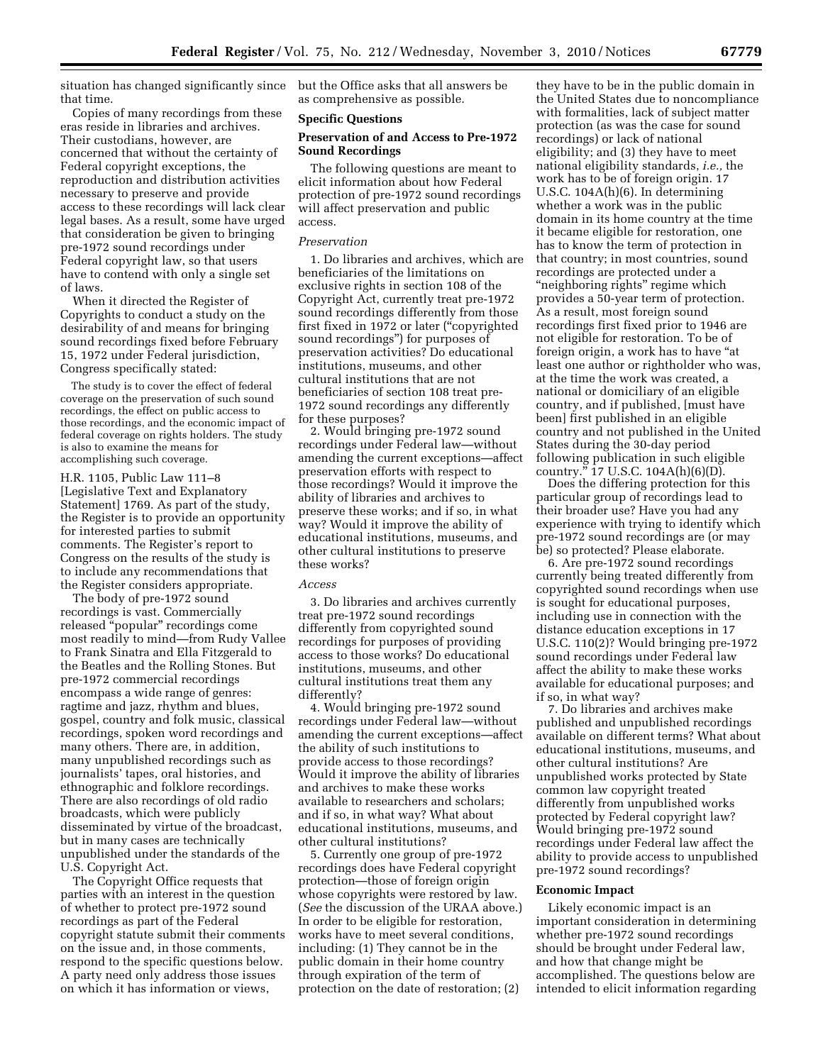situation has changed significantly since that time.

Copies of many recordings from these eras reside in libraries and archives. Their custodians, however, are concerned that without the certainty of Federal copyright exceptions, the reproduction and distribution activities necessary to preserve and provide access to these recordings will lack clear legal bases. As a result, some have urged that consideration be given to bringing pre-1972 sound recordings under Federal copyright law, so that users have to contend with only a single set of laws.

When it directed the Register of Copyrights to conduct a study on the desirability of and means for bringing sound recordings fixed before February 15, 1972 under Federal jurisdiction, Congress specifically stated:

The study is to cover the effect of federal coverage on the preservation of such sound recordings, the effect on public access to those recordings, and the economic impact of federal coverage on rights holders. The study is also to examine the means for accomplishing such coverage.

H.R. 1105, Public Law 111–8 [Legislative Text and Explanatory Statement] 1769. As part of the study, the Register is to provide an opportunity for interested parties to submit comments. The Register's report to Congress on the results of the study is to include any recommendations that the Register considers appropriate.

The body of pre-1972 sound recordings is vast. Commercially released ''popular'' recordings come most readily to mind—from Rudy Vallee to Frank Sinatra and Ella Fitzgerald to the Beatles and the Rolling Stones. But pre-1972 commercial recordings encompass a wide range of genres: ragtime and jazz, rhythm and blues, gospel, country and folk music, classical recordings, spoken word recordings and many others. There are, in addition, many unpublished recordings such as journalists' tapes, oral histories, and ethnographic and folklore recordings. There are also recordings of old radio broadcasts, which were publicly disseminated by virtue of the broadcast, but in many cases are technically unpublished under the standards of the U.S. Copyright Act.

The Copyright Office requests that parties with an interest in the question of whether to protect pre-1972 sound recordings as part of the Federal copyright statute submit their comments on the issue and, in those comments, respond to the specific questions below. A party need only address those issues on which it has information or views,

but the Office asks that all answers be as comprehensive as possible.

### **Specific Questions**

## **Preservation of and Access to Pre-1972 Sound Recordings**

The following questions are meant to elicit information about how Federal protection of pre-1972 sound recordings will affect preservation and public access.

### *Preservation*

1. Do libraries and archives, which are beneficiaries of the limitations on exclusive rights in section 108 of the Copyright Act, currently treat pre-1972 sound recordings differently from those first fixed in 1972 or later (''copyrighted sound recordings'') for purposes of preservation activities? Do educational institutions, museums, and other cultural institutions that are not beneficiaries of section 108 treat pre-1972 sound recordings any differently for these purposes?

2. Would bringing pre-1972 sound recordings under Federal law—without amending the current exceptions—affect preservation efforts with respect to those recordings? Would it improve the ability of libraries and archives to preserve these works; and if so, in what way? Would it improve the ability of educational institutions, museums, and other cultural institutions to preserve these works?

#### *Access*

3. Do libraries and archives currently treat pre-1972 sound recordings differently from copyrighted sound recordings for purposes of providing access to those works? Do educational institutions, museums, and other cultural institutions treat them any differently?

4. Would bringing pre-1972 sound recordings under Federal law—without amending the current exceptions—affect the ability of such institutions to provide access to those recordings? Would it improve the ability of libraries and archives to make these works available to researchers and scholars; and if so, in what way? What about educational institutions, museums, and other cultural institutions?

5. Currently one group of pre-1972 recordings does have Federal copyright protection—those of foreign origin whose copyrights were restored by law. (*See* the discussion of the URAA above.) In order to be eligible for restoration, works have to meet several conditions, including: (1) They cannot be in the public domain in their home country through expiration of the term of protection on the date of restoration; (2)

they have to be in the public domain in the United States due to noncompliance with formalities, lack of subject matter protection (as was the case for sound recordings) or lack of national eligibility; and (3) they have to meet national eligibility standards, *i.e.,* the work has to be of foreign origin. 17 U.S.C. 104A(h)(6). In determining whether a work was in the public domain in its home country at the time it became eligible for restoration, one has to know the term of protection in that country; in most countries, sound recordings are protected under a ''neighboring rights'' regime which provides a 50-year term of protection. As a result, most foreign sound recordings first fixed prior to 1946 are not eligible for restoration. To be of foreign origin, a work has to have "at least one author or rightholder who was, at the time the work was created, a national or domiciliary of an eligible country, and if published, [must have been] first published in an eligible country and not published in the United States during the 30-day period following publication in such eligible country."  $17 \text{ U.S.C. } 104 \text{A(h)}(6)(\text{D}).$ 

Does the differing protection for this particular group of recordings lead to their broader use? Have you had any experience with trying to identify which pre-1972 sound recordings are (or may be) so protected? Please elaborate.

6. Are pre-1972 sound recordings currently being treated differently from copyrighted sound recordings when use is sought for educational purposes, including use in connection with the distance education exceptions in 17 U.S.C. 110(2)? Would bringing pre-1972 sound recordings under Federal law affect the ability to make these works available for educational purposes; and if so, in what way?

7. Do libraries and archives make published and unpublished recordings available on different terms? What about educational institutions, museums, and other cultural institutions? Are unpublished works protected by State common law copyright treated differently from unpublished works protected by Federal copyright law? Would bringing pre-1972 sound recordings under Federal law affect the ability to provide access to unpublished pre-1972 sound recordings?

#### **Economic Impact**

Likely economic impact is an important consideration in determining whether pre-1972 sound recordings should be brought under Federal law, and how that change might be accomplished. The questions below are intended to elicit information regarding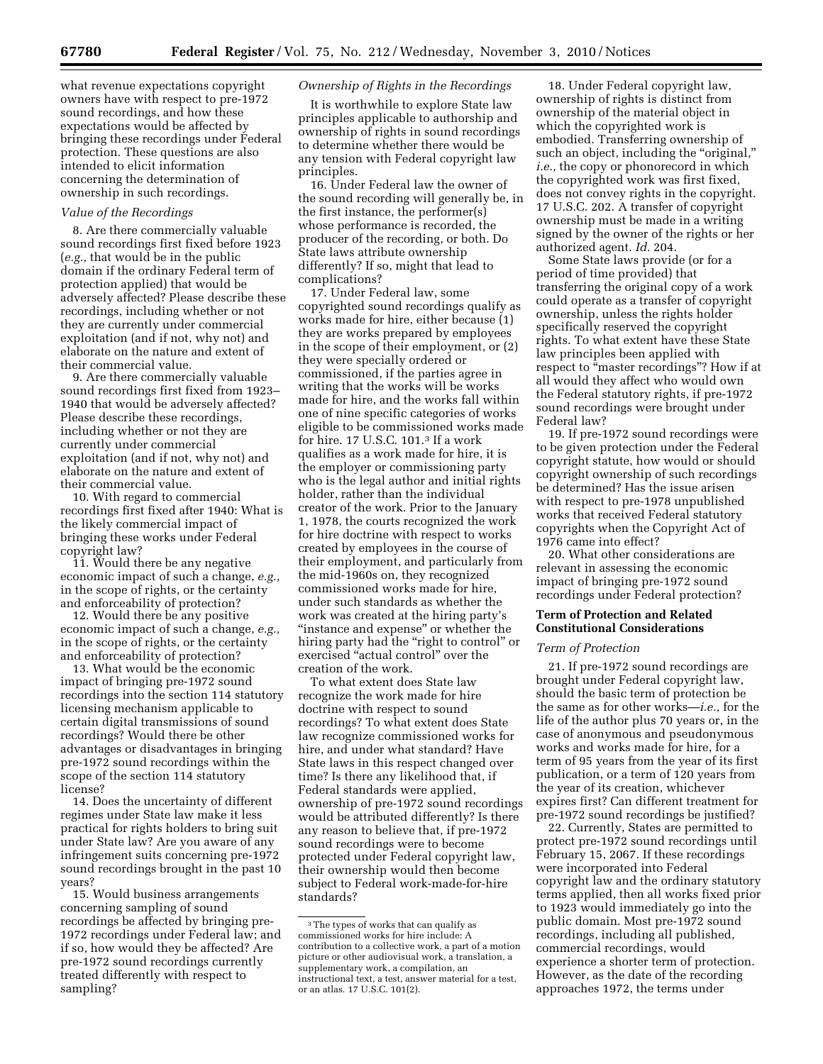what revenue expectations copyright owners have with respect to pre-1972 sound recordings, and how these expectations would be affected by bringing these recordings under Federal protection. These questions are also intended to elicit information concerning the determination of ownership in such recordings.

# *Value of the Recordings*

8. Are there commercially valuable sound recordings first fixed before 1923 (*e.g.,* that would be in the public domain if the ordinary Federal term of protection applied) that would be adversely affected? Please describe these recordings, including whether or not they are currently under commercial exploitation (and if not, why not) and elaborate on the nature and extent of their commercial value.

9. Are there commercially valuable sound recordings first fixed from 1923– 1940 that would be adversely affected? Please describe these recordings, including whether or not they are currently under commercial exploitation (and if not, why not) and elaborate on the nature and extent of their commercial value.

10. With regard to commercial recordings first fixed after 1940: What is the likely commercial impact of bringing these works under Federal copyright law?

11. Would there be any negative economic impact of such a change, *e.g.,*  in the scope of rights, or the certainty and enforceability of protection?

12. Would there be any positive economic impact of such a change, *e.g.,*  in the scope of rights, or the certainty and enforceability of protection?

13. What would be the economic impact of bringing pre-1972 sound recordings into the section 114 statutory licensing mechanism applicable to certain digital transmissions of sound recordings? Would there be other advantages or disadvantages in bringing pre-1972 sound recordings within the scope of the section 114 statutory license?

14. Does the uncertainty of different regimes under State law make it less practical for rights holders to bring suit under State law? Are you aware of any infringement suits concerning pre-1972 sound recordings brought in the past 10 years?

15. Would business arrangements concerning sampling of sound recordings be affected by bringing pre-1972 recordings under Federal law; and if so, how would they be affected? Are pre-1972 sound recordings currently treated differently with respect to sampling?

# *Ownership of Rights in the Recordings*

It is worthwhile to explore State law principles applicable to authorship and ownership of rights in sound recordings to determine whether there would be any tension with Federal copyright law principles.

16. Under Federal law the owner of the sound recording will generally be, in the first instance, the performer(s) whose performance is recorded, the producer of the recording, or both. Do State laws attribute ownership differently? If so, might that lead to complications?

17. Under Federal law, some copyrighted sound recordings qualify as works made for hire, either because (1) they are works prepared by employees in the scope of their employment, or (2) they were specially ordered or commissioned, if the parties agree in writing that the works will be works made for hire, and the works fall within one of nine specific categories of works eligible to be commissioned works made for hire. 17 U.S.C. 101.3 If a work qualifies as a work made for hire, it is the employer or commissioning party who is the legal author and initial rights holder, rather than the individual creator of the work. Prior to the January 1, 1978, the courts recognized the work for hire doctrine with respect to works created by employees in the course of their employment, and particularly from the mid-1960s on, they recognized commissioned works made for hire, under such standards as whether the work was created at the hiring party's ''instance and expense'' or whether the hiring party had the "right to control" or exercised ''actual control'' over the creation of the work.

To what extent does State law recognize the work made for hire doctrine with respect to sound recordings? To what extent does State law recognize commissioned works for hire, and under what standard? Have State laws in this respect changed over time? Is there any likelihood that, if Federal standards were applied, ownership of pre-1972 sound recordings would be attributed differently? Is there any reason to believe that, if pre-1972 sound recordings were to become protected under Federal copyright law, their ownership would then become subject to Federal work-made-for-hire standards?

18. Under Federal copyright law, ownership of rights is distinct from ownership of the material object in which the copyrighted work is embodied. Transferring ownership of such an object, including the "original," *i.e.,* the copy or phonorecord in which the copyrighted work was first fixed, does not convey rights in the copyright. 17 U.S.C. 202. A transfer of copyright ownership must be made in a writing signed by the owner of the rights or her authorized agent. *Id.* 204.

Some State laws provide (or for a period of time provided) that transferring the original copy of a work could operate as a transfer of copyright ownership, unless the rights holder specifically reserved the copyright rights. To what extent have these State law principles been applied with respect to "master recordings"? How if at all would they affect who would own the Federal statutory rights, if pre-1972 sound recordings were brought under Federal law?

19. If pre-1972 sound recordings were to be given protection under the Federal copyright statute, how would or should copyright ownership of such recordings be determined? Has the issue arisen with respect to pre-1978 unpublished works that received Federal statutory copyrights when the Copyright Act of 1976 came into effect?

20. What other considerations are relevant in assessing the economic impact of bringing pre-1972 sound recordings under Federal protection?

# **Term of Protection and Related Constitutional Considerations**

### *Term of Protection*

21. If pre-1972 sound recordings are brought under Federal copyright law, should the basic term of protection be the same as for other works—*i.e.,* for the life of the author plus 70 years or, in the case of anonymous and pseudonymous works and works made for hire, for a term of 95 years from the year of its first publication, or a term of 120 years from the year of its creation, whichever expires first? Can different treatment for pre-1972 sound recordings be justified?

22. Currently, States are permitted to protect pre-1972 sound recordings until February 15, 2067. If these recordings were incorporated into Federal copyright law and the ordinary statutory terms applied, then all works fixed prior to 1923 would immediately go into the public domain. Most pre-1972 sound recordings, including all published, commercial recordings, would experience a shorter term of protection. However, as the date of the recording approaches 1972, the terms under

<sup>3</sup>The types of works that can qualify as commissioned works for hire include: A contribution to a collective work, a part of a motion picture or other audiovisual work, a translation, a supplementary work, a compilation, an instructional text, a test, answer material for a test, or an atlas. 17 U.S.C. 101(2).